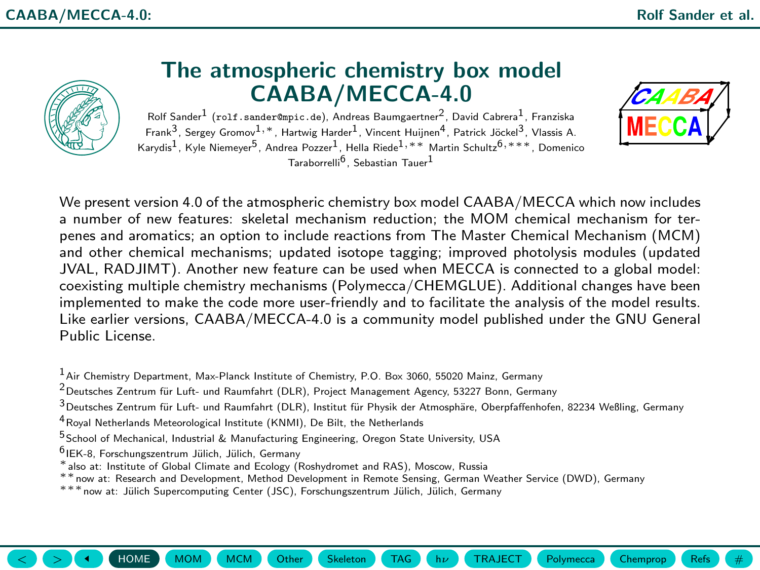<span id="page-0-1"></span><span id="page-0-0"></span>

## The atmospheric chemistry box model CAABA/MECCA-4.0

 ${\sf Rolf\,Sander}^1$  (rolf.sander@mpic.de), Andreas Baumgaertner $^2$ , David Cabrera $^1$ , Franziska Frank $^3$ , Sergey Gromov $^1, \ast$ , Hartwig Harder $^1$ , Vincent Huijnen $^4$ , Patrick Jöckel $^3$ , Vlassis A. Karydis<sup>1</sup>, Kyle Niemeyer<sup>5</sup>, Andrea Pozzer<sup>1</sup>, Hella Riede<sup>1,∗∗</sup> Martin Schultz<sup>6,∗∗∗</sup>, Domenico Taraborrelli6 , Sebastian Tauer1



We present version 4.0 of the atmospheric chemistry box model CAABA/MECCA which now includes a number of new features: skeletal mechanism reduction; the [MOM](#page-4-0) chemical mechanism for terpenes and aromatics; an option to include reactions from The Master Chemical Mechanism (MCM) and other chemical mechanisms; updated isotope tagging; improved photolysis modules (updated JVAL, RADJIMT). Another new feature can be used when MECCA is connected to a global model: coexisting multiple chemistry mechanisms (Polymecca/CHEMGLUE). Additional changes have been implemented to make the code more user-friendly and to facilitate the analysis of the model results. Like earlier versions, CAABA/MECCA-4.0 is a community model published under the GNU General Public License.

 $<sup>1</sup>$  Air Chemistry Department, Max-Planck Institute of Chemistry, P.O. Box 3060, 55020 Mainz, Germany</sup>

 $2$ Deutsches Zentrum für Luft- und Raumfahrt (DLR), Project Management Agency, 53227 Bonn, Germany

 $3$ Deutsches Zentrum für Luft- und Raumfahrt (DLR), Institut für Physik der Atmosphäre, Oberpfaffenhofen, 82234 Weßling, Germany

 $\langle \rangle$   $\langle \rangle$   $\langle \rangle$   $\langle \rangle$   $\langle \rangle$   $\langle$  [HOME](#page-0-1)  $\rangle$  [MOM](#page-4-0)  $\rangle$  ([Other](#page-6-0)  $\langle$  Other  $\rangle$  [Chemprop](#page-12-0)  $\langle$  [Refs](#page-13-0)  $\rangle$   $\langle \rangle$   $\langle \rangle$   $\langle \rangle$   $\langle \rangle$   $\langle \rangle$  and  $\langle$   $\rangle$   $\langle \rangle$   $\langle \rangle$   $\langle \rangle$   $\langle \rangle$   $\langle \rangle$   $\langle \rangle$   $\langle \rangle$   $\langle \rangle$   $\langle \rangle$   $\langle$ 

4Royal Netherlands Meteorological Institute (KNMI), De Bilt, the Netherlands

5School of Mechanical, Industrial & Manufacturing Engineering, Oregon State University, USA

<sup>6</sup> IEK-8, Forschungszentrum Jülich, Jülich, Germany

∗also at: Institute of Global Climate and Ecology (Roshydromet and RAS), Moscow, Russia

∗∗now at: Research and Development, Method Development in Remote Sensing, German Weather Service (DWD), Germany

\*\*\* now at: Jülich Supercomputing Center (JSC), Forschungszentrum Jülich, Jülich, Germany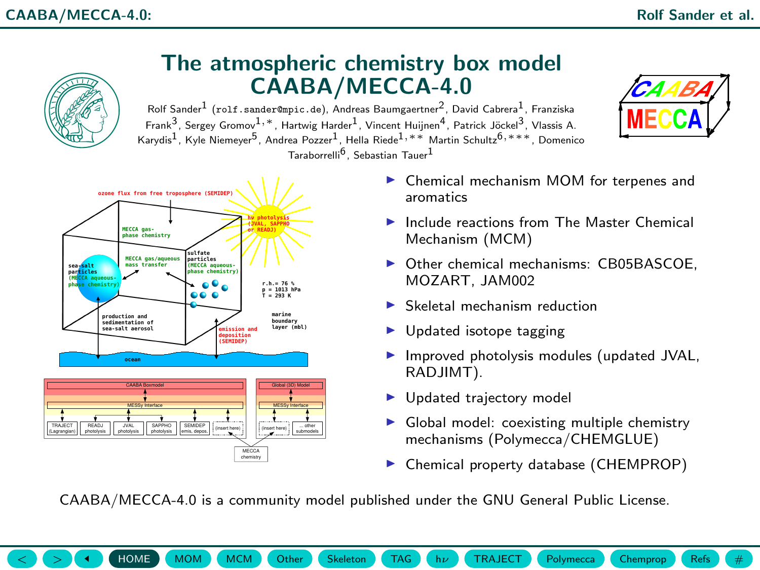<span id="page-1-0"></span>

 $\blacktriangleright$  Chemical property database (CHEMPROP)

CAABA/MECCA-4.0 is a community model published under the GNU General Public License.

 $\langle \rangle$   $\langle \rangle$   $\langle \rangle$   $\langle \rangle$   $\langle \rangle$   $\langle$  [HOME](#page-0-1)  $\rangle$  [MOM](#page-4-0)  $\rangle$  ([Other](#page-6-0)  $\langle$  Other  $\rangle$  [Chemprop](#page-12-0)  $\langle$  [Refs](#page-13-0)  $\rangle$   $\langle \rangle$   $\langle \rangle$   $\langle \rangle$   $\langle \rangle$   $\langle \rangle$  and  $\langle$   $\rangle$   $\langle \rangle$   $\langle \rangle$   $\langle \rangle$   $\langle \rangle$   $\langle \rangle$   $\langle \rangle$   $\langle \rangle$   $\langle \rangle$   $\langle \rangle$   $\langle$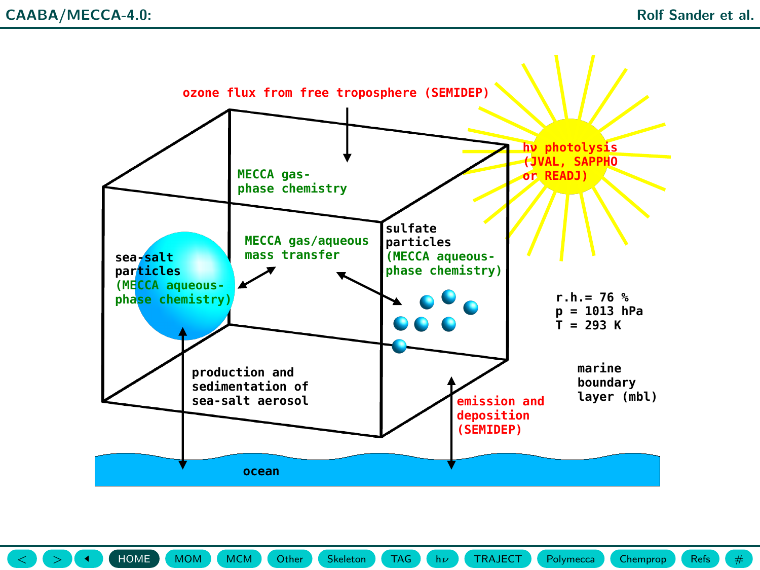<span id="page-2-0"></span>

 $\langle \rangle$   $\langle \rangle$   $\langle \rangle$   $\langle \rangle$   $\langle \rangle$   $\langle$  [HOME](#page-0-1)  $\rangle$  [MOM](#page-4-0)  $\rangle$  ([Other](#page-6-0)  $\langle$  Other  $\rangle$  [Chemprop](#page-12-0)  $\langle$  [Refs](#page-13-0)  $\rangle$   $\langle \rangle$   $\langle \rangle$   $\langle \rangle$   $\langle \rangle$  and  $\langle \rangle$   $\langle \rangle$  and  $\langle$   $\rangle$   $\langle \rangle$   $\langle \rangle$   $\langle \rangle$   $\langle \rangle$   $\langle \rangle$   $\langle \rangle$   $\langle \rangle$   $\langle \rangle$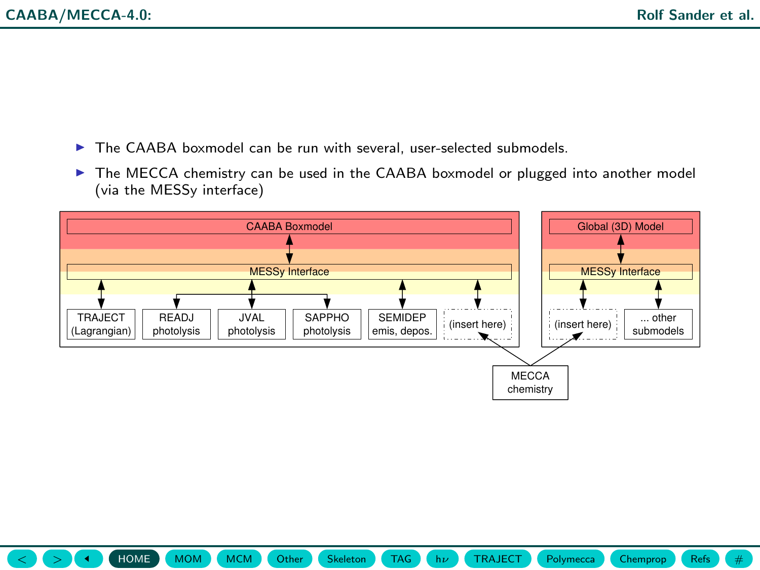- <span id="page-3-0"></span> $\triangleright$  The CAABA boxmodel can be run with several, user-selected submodels.
- $\triangleright$  The MECCA chemistry can be used in the CAABA boxmodel or plugged into another model (via the MESSy interface)



 $\langle \rangle$   $\langle \rangle$   $\langle \rangle$   $\langle \rangle$   $\langle \rangle$   $\langle$  [HOME](#page-0-1)  $\rangle$  [MOM](#page-4-0)  $\rangle$  ([Other](#page-6-0)  $\langle$  Other  $\rangle$  [Chemprop](#page-12-0)  $\langle$  [Refs](#page-13-0)  $\rangle$   $\langle \rangle$   $\langle \rangle$   $\langle \rangle$   $\langle \rangle$  and  $\langle \rangle$   $\langle \rangle$  and  $\langle$   $\rangle$   $\langle \rangle$   $\langle \rangle$   $\langle \rangle$   $\langle \rangle$   $\langle \rangle$   $\langle \rangle$   $\langle \rangle$   $\langle \rangle$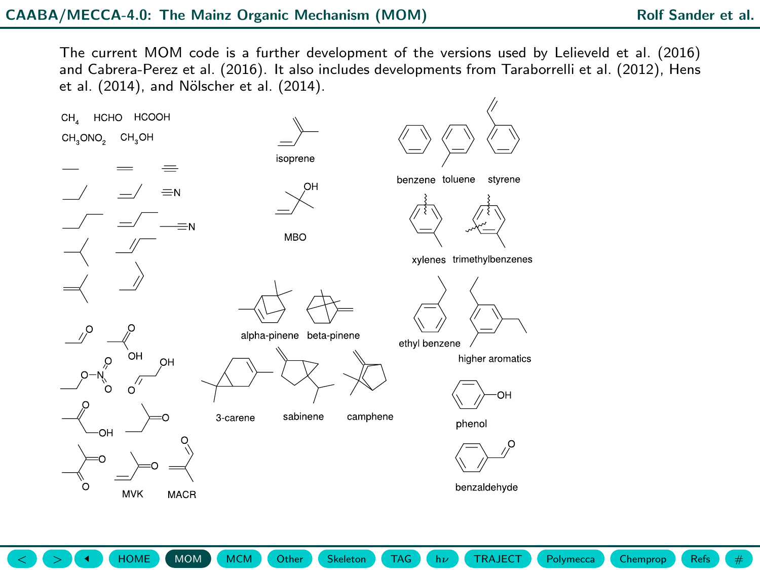<span id="page-4-1"></span><span id="page-4-0"></span>The current MOM code is a further development of the versions used by Lelieveld et al. (2016) and Cabrera-Perez et al. (2016). It also includes developments from Taraborrelli et al. (2012), Hens et al. (2014), and Nölscher et al. (2014).

 $\langle \rangle$   $\langle \rangle$   $\langle \rangle$   $\langle \rangle$   $\langle \rangle$   $\langle$  [HOME](#page-0-1)  $\rangle$  ([MOM](#page-4-0)  $\rangle$  ([Other](#page-6-0)  $\langle$  Other  $\rangle$  [Chemprop](#page-12-0)  $\langle$  Chemprop  $\rangle$  ([Refs](#page-13-0)  $\rangle$   $\langle \rangle$   $\#$ 

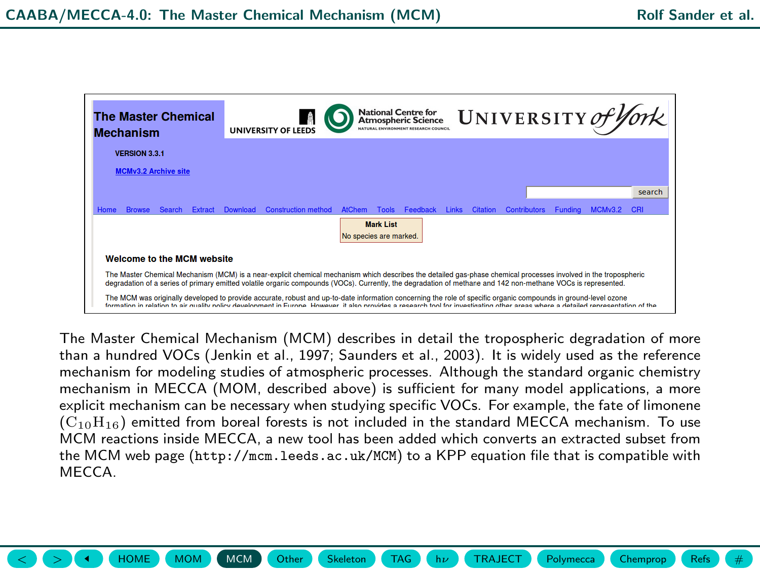<span id="page-5-1"></span><span id="page-5-0"></span>

| <b>The Master Chemical</b><br><b>Mechanism</b>                                                                                                                                                                                                                                                                                   |                                                                                                                                                                                                                                                                                                                                                      |               | UNIVERSITY of York<br><b>National Centre for</b><br><b>Atmospheric Science</b><br>NATURAL ENVIRONMENT RESEARCH COUNCIL<br><b>UNIVERSITY OF LEED</b> |          |                            |               |              |          |              |          |                     |                |         |        |
|----------------------------------------------------------------------------------------------------------------------------------------------------------------------------------------------------------------------------------------------------------------------------------------------------------------------------------|------------------------------------------------------------------------------------------------------------------------------------------------------------------------------------------------------------------------------------------------------------------------------------------------------------------------------------------------------|---------------|-----------------------------------------------------------------------------------------------------------------------------------------------------|----------|----------------------------|---------------|--------------|----------|--------------|----------|---------------------|----------------|---------|--------|
|                                                                                                                                                                                                                                                                                                                                  | VERSION 3.3.1                                                                                                                                                                                                                                                                                                                                        |               |                                                                                                                                                     |          |                            |               |              |          |              |          |                     |                |         |        |
|                                                                                                                                                                                                                                                                                                                                  | <b>MCMv3.2 Archive site</b>                                                                                                                                                                                                                                                                                                                          |               |                                                                                                                                                     |          |                            |               |              |          |              |          |                     |                |         |        |
|                                                                                                                                                                                                                                                                                                                                  |                                                                                                                                                                                                                                                                                                                                                      |               |                                                                                                                                                     |          |                            |               |              |          |              |          |                     |                |         | search |
| Home                                                                                                                                                                                                                                                                                                                             | <b>Browse</b>                                                                                                                                                                                                                                                                                                                                        | <b>Search</b> | Extract                                                                                                                                             | Download | <b>Construction method</b> | <b>AtChem</b> | <b>Tools</b> | Feedback | <b>Links</b> | Citation | <b>Contributors</b> | <b>Funding</b> | MCMv3.2 | CRI    |
| <b>Mark List</b><br>No species are marked.                                                                                                                                                                                                                                                                                       |                                                                                                                                                                                                                                                                                                                                                      |               |                                                                                                                                                     |          |                            |               |              |          |              |          |                     |                |         |        |
| <b>Welcome to the MCM website</b>                                                                                                                                                                                                                                                                                                |                                                                                                                                                                                                                                                                                                                                                      |               |                                                                                                                                                     |          |                            |               |              |          |              |          |                     |                |         |        |
| The Master Chemical Mechanism (MCM) is a near-explicit chemical mechanism which describes the detailed gas-phase chemical processes involved in the tropospheric<br>degradation of a series of primary emitted volatile organic compounds (VOCs). Currently, the degradation of methane and 142 non-methane VOCs is represented. |                                                                                                                                                                                                                                                                                                                                                      |               |                                                                                                                                                     |          |                            |               |              |          |              |          |                     |                |         |        |
|                                                                                                                                                                                                                                                                                                                                  | The MCM was originally developed to provide accurate, robust and up-to-date information concerning the role of specific organic compounds in ground-level ozone<br>formation in relation to air quality policy development in Furone. However, it also provides a research tool for investigation other areas where a detailed representation of the |               |                                                                                                                                                     |          |                            |               |              |          |              |          |                     |                |         |        |

The Master Chemical Mechanism (MCM) describes in detail the tropospheric degradation of more than a hundred VOCs (Jenkin et al., 1997; Saunders et al., 2003). It is widely used as the reference mechanism for modeling studies of atmospheric processes. Although the standard organic chemistry mechanism in MECCA (MOM, described above) is sufficient for many model applications, a more explicit mechanism can be necessary when studying specific VOCs. For example, the fate of limonene  $(C_{10}H_{16})$  emitted from boreal forests is not included in the standard MECCA mechanism. To use MCM reactions inside MECCA, a new tool has been added which converts an extracted subset from the MCM web page (<http://mcm.leeds.ac.uk/MCM>) to a KPP equation file that is compatible with **MECCA** 

 $\langle \rangle$   $\langle \rangle$   $\langle \rangle$   $\langle \rangle$   $\langle \rangle$   $\langle \rangle$  [HOME](#page-0-1)  $\rangle$  ([MOM](#page-4-0)  $\rangle$  ([Other](#page-6-0)  $\rangle$  Ckeleton  $\rangle$  [TAG](#page-8-0)  $\rangle$  (h $\nu$  ) ([TRAJECT](#page-10-0) ) [Polymecca](#page-11-0)  $\rangle$  [Chemprop](#page-12-0)  $\rangle$  [Refs](#page-13-0) ) (  $\#$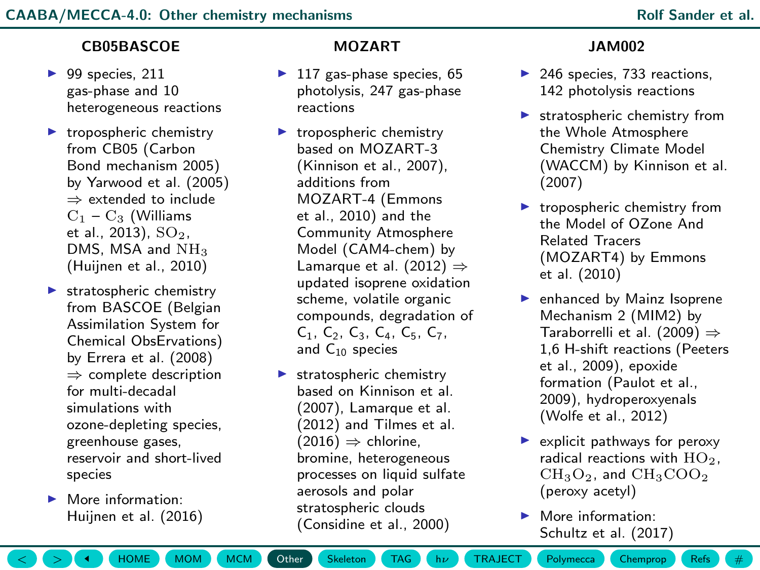### <span id="page-6-1"></span><span id="page-6-0"></span>CB05BASCOE

- $\blacktriangleright$  99 species, 211 gas-phase and 10 heterogeneous reactions
- $\blacktriangleright$  tropospheric chemistry from CB05 (Carbon Bond mechanism 2005) by Yarwood et al. (2005) ⇒ extended to include  $C_1 - C_2$  (Williams et al.,  $2013$ ),  $SO<sub>2</sub>$ , DMS, MSA and  $NH<sub>3</sub>$ (Huijnen et al., 2010)
- $\blacktriangleright$  stratospheric chemistry from BASCOE (Belgian Assimilation System for Chemical ObsErvations) by Errera et al. (2008) ⇒ complete description for multi-decadal simulations with ozone-depleting species, greenhouse gases, reservoir and short-lived species
- $\blacktriangleright$  More information: Huijnen et al. (2016)

### MOZART

- $\blacktriangleright$  117 gas-phase species, 65 photolysis, 247 gas-phase reactions
- $\blacktriangleright$  tropospheric chemistry based on MOZART-3 (Kinnison et al., 2007), additions from MOZART-4 (Emmons et al., 2010) and the Community Atmosphere Model (CAM4-chem) by Lamarque et al.  $(2012) \Rightarrow$ updated isoprene oxidation scheme, volatile organic compounds, degradation of C1, C2, C3, C4, C5, C7, and C<sup>10</sup> species
- $\blacktriangleright$  stratospheric chemistry based on Kinnison et al. (2007), Lamarque et al. (2012) and Tilmes et al.  $(2016) \Rightarrow$  chlorine. bromine, heterogeneous processes on liquid sulfate aerosols and polar stratospheric clouds (Considine et al., 2000)

### JAM002

- $\blacktriangleright$  246 species, 733 reactions. 142 photolysis reactions
- $\blacktriangleright$  stratospheric chemistry from the Whole Atmosphere Chemistry Climate Model (WACCM) by Kinnison et al. (2007)
- $\blacktriangleright$  tropospheric chemistry from the Model of OZone And Related Tracers (MOZART4) by Emmons et al. (2010)
- $\blacktriangleright$  enhanced by Mainz Isoprene Mechanism 2 (MIM2) by Taraborrelli et al. (2009)  $\Rightarrow$ 1,6 H-shift reactions (Peeters et al., 2009), epoxide formation (Paulot et al., 2009), hydroperoxyenals (Wolfe et al., 2012)
- $\blacktriangleright$  explicit pathways for peroxy radical reactions with  $HO<sub>2</sub>$ ,  $CH<sub>3</sub>O<sub>2</sub>$ , and  $CH<sub>3</sub>COO<sub>2</sub>$ (peroxy acetyl)
- $\blacktriangleright$  More information: Schultz et al. (2017)

 $\langle \rangle$   $\langle \rangle$   $\langle \rangle$   $\langle \rangle$   $\langle \rangle$   $\langle \rangle$  [HOME](#page-0-1)  $\rangle$  ([MOM](#page-4-0)  $\rangle$  ([Other](#page-6-0) [Skeleton](#page-7-0) ) [TAG](#page-8-0)  $\rangle$  h $\nu$  ) ([TRAJECT](#page-10-0) ) [Polymecca](#page-11-0) ) [Chemprop](#page-12-0) ([Refs](#page-13-0) )  $\langle \rangle$  #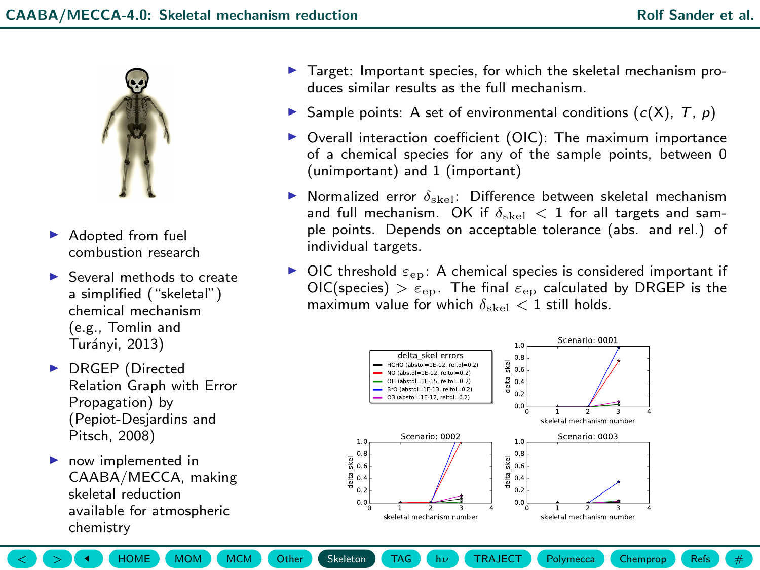<span id="page-7-1"></span><span id="page-7-0"></span>

- $\blacktriangleright$  Adopted from fuel combustion research
- $\blacktriangleright$  Several methods to create a simplified ("skeletal") chemical mechanism (e.g., Tomlin and Turánvi, 2013)
- ▶ DRGEP (Directed Relation Graph with Error Propagation) by (Pepiot-Desjardins and Pitsch, 2008)
- $\blacktriangleright$  now implemented in CAABA/MECCA, making skeletal reduction available for atmospheric chemistry
- $\blacktriangleright$  Target: Important species, for which the skeletal mechanism produces similar results as the full mechanism.
- Sample points: A set of environmental conditions  $(c(X), T, p)$
- $\triangleright$  Overall interaction coefficient (OIC): The maximum importance of a chemical species for any of the sample points, between 0 (unimportant) and 1 (important)
- **I** Normalized error  $\delta_{\text{skel}}$ : Difference between skeletal mechanism and full mechanism. OK if  $\delta_{\rm shell} < 1$  for all targets and sample points. Depends on acceptable tolerance (abs. and rel.) of individual targets.
- $\triangleright$  OIC threshold  $\varepsilon_{\rm ep}$ : A chemical species is considered important if  $OIC(species) > \varepsilon_{ep}$ . The final  $\varepsilon_{ep}$  calculated by DRGEP is the maximum value for which  $\delta_{\text{shell}} < 1$  still holds.



 $\langle \rangle$   $\langle \rangle$   $\langle \rangle$   $\langle \rangle$   $\langle \rangle$   $\langle \rangle$  [HOME](#page-0-1)  $\rangle$  ([MOM](#page-4-0)  $\rangle$  ([Other](#page-6-0)  $\rangle$  Ckeleton  $\rangle$  [TAG](#page-8-0)  $\rangle$  (h $\nu$  ) ([TRAJECT](#page-10-0) ) [Polymecca](#page-11-0)  $\rangle$  [Chemprop](#page-12-0) ([Refs](#page-13-0) )  $\langle \rangle$   $\#$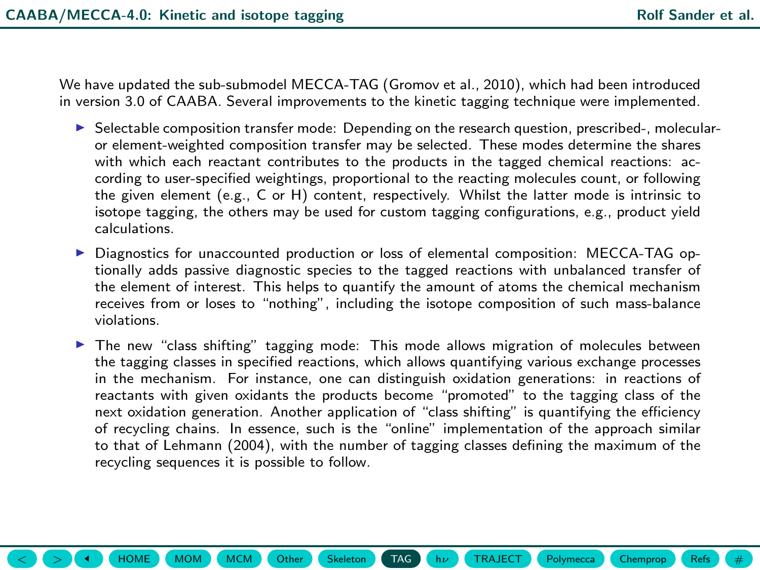<span id="page-8-1"></span><span id="page-8-0"></span>We have updated the sub-submodel MECCA-TAG (Gromov et al., 2010), which had been introduced in version 3.0 of CAABA. Several improvements to the kinetic tagging technique were implemented.

- $\triangleright$  Selectable composition transfer mode: Depending on the research question, prescribed-, molecularor element-weighted composition transfer may be selected. These modes determine the shares with which each reactant contributes to the products in the tagged chemical reactions: according to user-specified weightings, proportional to the reacting molecules count, or following the given element (e.g., C or H) content, respectively. Whilst the latter mode is intrinsic to isotope tagging, the others may be used for custom tagging configurations, e.g., product yield calculations.
- ▶ Diagnostics for unaccounted production or loss of elemental composition: MECCA-TAG optionally adds passive diagnostic species to the tagged reactions with unbalanced transfer of the element of interest. This helps to quantify the amount of atoms the chemical mechanism receives from or loses to "nothing", including the isotope composition of such mass-balance violations.
- $\blacktriangleright$  The new "class shifting" tagging mode: This mode allows migration of molecules between the tagging classes in specified reactions, which allows quantifying various exchange processes in the mechanism. For instance, one can distinguish oxidation generations: in reactions of reactants with given oxidants the products become "promoted" to the tagging class of the next oxidation generation. Another application of "class shifting" is quantifying the efficiency of recycling chains. In essence, such is the "online" implementation of the approach similar to that of Lehmann (2004), with the number of tagging classes defining the maximum of the recycling sequences it is possible to follow.

 $\langle \rangle$   $\langle \rangle$   $\langle \rangle$   $\langle \rangle$   $\langle \rangle$   $\langle \rangle$  [HOME](#page-0-1)  $\rangle$  ([MOM](#page-4-0)  $\rangle$  ([Other](#page-6-0)  $\langle \rangle$  [Skeleton](#page-7-0)  $\rangle$  [TAG](#page-8-0)  $\rangle$  (h $\nu$  ) ([TRAJECT](#page-10-0) ) [Polymecca](#page-11-0) ([Chemprop](#page-12-0) ) [Refs](#page-13-0) )  $\langle \rangle$  #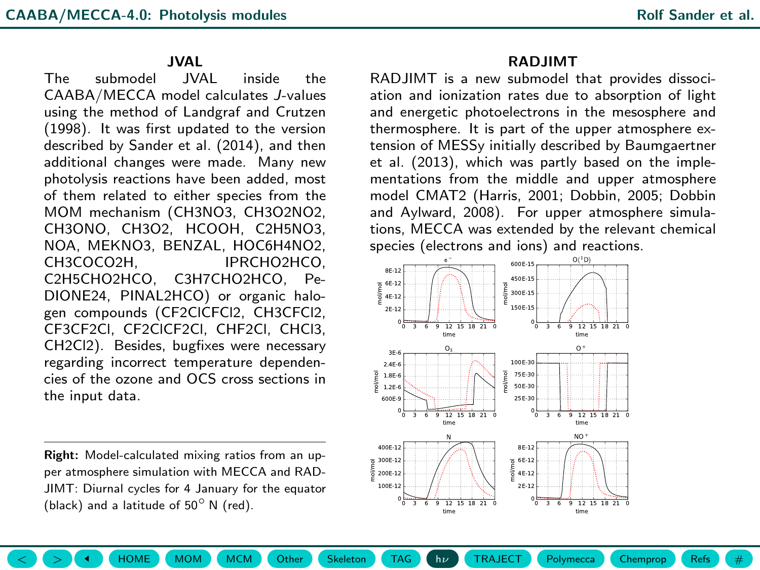# JVAL

<span id="page-9-1"></span><span id="page-9-0"></span>The submodel JVAL inside the CAABA/MECCA model calculates J-values using the method of Landgraf and Crutzen (1998). It was first updated to the version described by Sander et al. (2014), and then additional changes were made. Many new photolysis reactions have been added, most of them related to either species from the MOM mechanism (CH3NO3, CH3O2NO2, CH3ONO, CH3O2, HCOOH, C2H5NO3, NOA, MEKNO3, BENZAL, HOC6H4NO2, IPRCHO2HCO. C2H5CHO2HCO, C3H7CHO2HCO, Pe-DIONE24, PINAL2HCO) or organic halogen compounds (CF2ClCFCl2, CH3CFCl2, CF3CF2Cl, CF2ClCF2Cl, CHF2Cl, CHCl3, CH2Cl2). Besides, bugfixes were necessary regarding incorrect temperature dependencies of the ozone and OCS cross sections in the input data.

Right: Model-calculated mixing ratios from an upper atmosphere simulation with MECCA and RAD-JIMT: Diurnal cycles for 4 January for the equator (black) and a latitude of 50◦ N (red).

### RADJIMT

RADJIMT is a new submodel that provides dissociation and ionization rates due to absorption of light and energetic photoelectrons in the mesosphere and thermosphere. It is part of the upper atmosphere extension of MESSy initially described by Baumgaertner et al. (2013), which was partly based on the implementations from the middle and upper atmosphere model CMAT2 (Harris, 2001; Dobbin, 2005; Dobbin and Aylward, 2008). For upper atmosphere simulations, MECCA was extended by the relevant chemical species (electrons and ions) and reactions.



 $\langle \rangle$   $\langle \rangle$   $\langle \rangle$   $\langle \rangle$   $\langle \rangle$  [HOME](#page-0-1)  $\rangle$  ([MOM](#page-4-0)  $\rangle$  ([Other](#page-6-0)  $\langle \rangle$  [Skeleton](#page-7-0)  $\rangle$  [TAG](#page-8-0)  $\rangle$  (h $\nu$  ) ([TRAJECT](#page-10-0)  $\rangle$  [Polymecca](#page-11-0) ) ([Chemprop](#page-12-0) ) [Refs](#page-13-0) )  $\langle \rangle$  #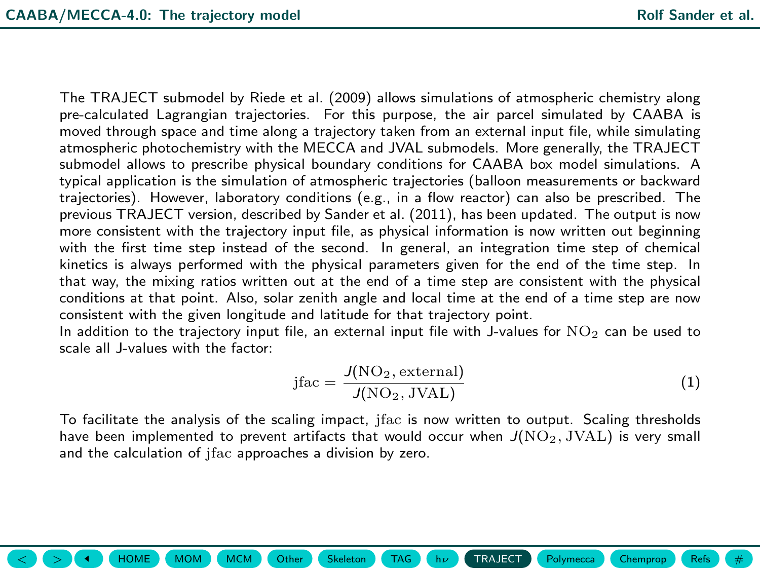<span id="page-10-1"></span><span id="page-10-0"></span>The TRAJECT submodel by Riede et al. (2009) allows simulations of atmospheric chemistry along pre-calculated Lagrangian trajectories. For this purpose, the air parcel simulated by CAABA is moved through space and time along a trajectory taken from an external input file, while simulating atmospheric photochemistry with the MECCA and JVAL submodels. More generally, the TRAJECT submodel allows to prescribe physical boundary conditions for CAABA box model simulations. A typical application is the simulation of atmospheric trajectories (balloon measurements or backward trajectories). However, laboratory conditions (e.g., in a flow reactor) can also be prescribed. The previous TRAJECT version, described by Sander et al. (2011), has been updated. The output is now more consistent with the trajectory input file, as physical information is now written out beginning with the first time step instead of the second. In general, an integration time step of chemical kinetics is always performed with the physical parameters given for the end of the time step. In that way, the mixing ratios written out at the end of a time step are consistent with the physical conditions at that point. Also, solar zenith angle and local time at the end of a time step are now consistent with the given longitude and latitude for that trajectory point.

In addition to the trajectory input file, an external input file with J-values for  $NO<sub>2</sub>$  can be used to scale all J-values with the factor:

$$
jfac = \frac{J(NO_2, external)}{J(NO_2, JVAL)}\tag{1}
$$

To facilitate the analysis of the scaling impact, jfac is now written to output. Scaling thresholds have been implemented to prevent artifacts that would occur when  $J(NO_2, JVAL)$  is very small and the calculation of jfac approaches a division by zero.

 $\langle \rangle$   $\langle \rangle$   $\langle \rangle$   $\langle \rangle$   $\langle \rangle$  [HOME](#page-0-1)  $\rangle$  ([MOM](#page-4-0)  $\rangle$  ([Other](#page-6-0) [Skeleton](#page-7-0) ) [TAG](#page-8-0)  $\langle \rangle$  h $\nu$  ) [TRAJECT](#page-10-0)  $\rangle$  [Polymecca](#page-11-0) ) [Chemprop](#page-12-0) ([Refs](#page-13-0) )  $\langle \rangle$  #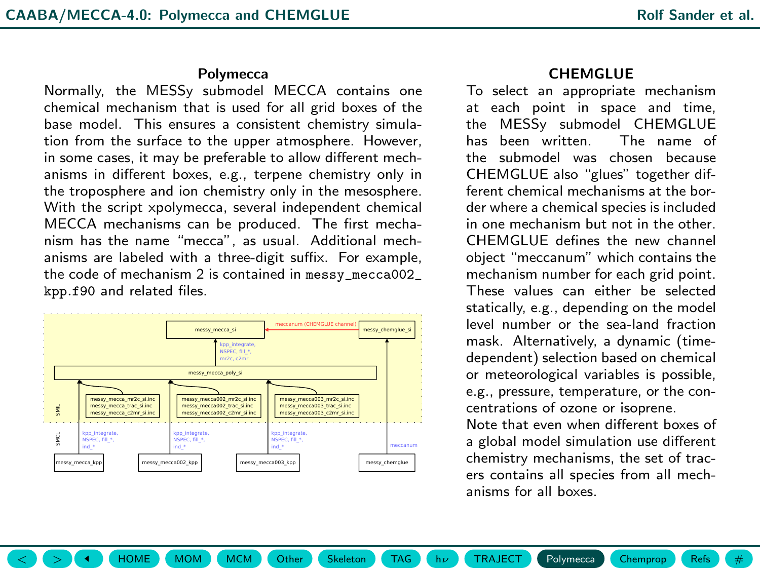#### **Polymecca**

<span id="page-11-1"></span><span id="page-11-0"></span>Normally, the MESSy submodel MECCA contains one chemical mechanism that is used for all grid boxes of the base model. This ensures a consistent chemistry simulation from the surface to the upper atmosphere. However, in some cases, it may be preferable to allow different mechanisms in different boxes, e.g., terpene chemistry only in the troposphere and ion chemistry only in the mesosphere. With the script xpolymecca, several independent chemical MECCA mechanisms can be produced. The first mechanism has the name "mecca", as usual. Additional mechanisms are labeled with a three-digit suffix. For example, the code of mechanism 2 is contained in messy\_mecca002\_ kpp.f90 and related files.



 $\langle \rangle$   $\langle \rangle$   $\langle \rangle$   $\langle \rangle$   $\langle \rangle$   $\langle \rangle$  [HOME](#page-0-1)  $\rangle$  ([MOM](#page-4-0)  $\rangle$  ([Other](#page-6-0)  $\langle \rangle$  [Skeleton](#page-7-0)  $\rangle$  [TAG](#page-8-0)  $\rangle$  (h $\nu$  ) ([TRAJECT](#page-10-0)  $\rangle$  [Polymecca](#page-11-0) ) [Chemprop](#page-12-0) ([Refs](#page-13-0) )  $\langle \rangle$  #

### CHEMGLUE

To select an appropriate mechanism at each point in space and time,<br>the MESSy submodel CHEMGLUE MESSy submodel CHEMGLUE has been written. The name of the submodel was chosen because CHEMGLUE also "glues" together different chemical mechanisms at the border where a chemical species is included in one mechanism but not in the other. CHEMGLUE defines the new channel object "meccanum" which contains the mechanism number for each grid point. These values can either be selected statically, e.g., depending on the model level number or the sea-land fraction mask. Alternatively, a dynamic (timedependent) selection based on chemical or meteorological variables is possible, e.g., pressure, temperature, or the concentrations of ozone or isoprene.

Note that even when different boxes of a global model simulation use different chemistry mechanisms, the set of tracers contains all species from all mechanisms for all boxes.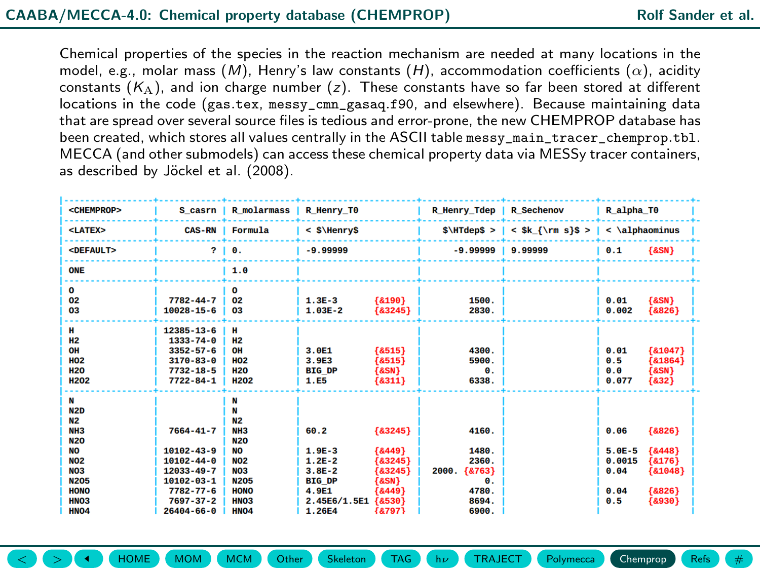<span id="page-12-1"></span><span id="page-12-0"></span>Chemical properties of the species in the reaction mechanism are needed at many locations in the model, e.g., molar mass  $(M)$ , Henry's law constants  $(H)$ , accommodation coefficients  $(\alpha)$ , acidity constants  $(K_A)$ , and ion charge number (z). These constants have so far been stored at different locations in the code (gas.tex, messy\_cmn\_gasaq.f90, and elsewhere). Because maintaining data that are spread over several source files is tedious and error-prone, the new CHEMPROP database has been created, which stores all values centrally in the ASCII table messy\_main\_tracer\_chemprop.tbl. MECCA (and other submodels) can access these chemical property data via MESSy tracer containers, as described by Jöckel et al. (2008).

| <chemprop></chemprop>                                                                                                                                                   | <b>R</b> molarmass<br>S casrn                                                                                             |                                                                                                                                                           | R Henry TO                                                                             |                                                                                  | R_Henry_Tdep                                                         | <b>R</b> Sechenov   | R alpha TO                                        |                                                                       |
|-------------------------------------------------------------------------------------------------------------------------------------------------------------------------|---------------------------------------------------------------------------------------------------------------------------|-----------------------------------------------------------------------------------------------------------------------------------------------------------|----------------------------------------------------------------------------------------|----------------------------------------------------------------------------------|----------------------------------------------------------------------|---------------------|---------------------------------------------------|-----------------------------------------------------------------------|
| <latex></latex>                                                                                                                                                         | <b>CAS-RN</b>                                                                                                             | Formula                                                                                                                                                   | $<$ S\HenryS                                                                           |                                                                                  | $$\H\text{dep$} >  $                                                 | $<$ \$k {\rm s}\$ > | $\langle$ \alphaominus                            |                                                                       |
| <default></default>                                                                                                                                                     | $\mathbf{r}$                                                                                                              | Θ.                                                                                                                                                        | $-9.99999$                                                                             |                                                                                  | $-9.99999$                                                           | 9.99999             | 0.1                                               | ${8SN}$                                                               |
| ONE                                                                                                                                                                     |                                                                                                                           | 1.0                                                                                                                                                       |                                                                                        |                                                                                  |                                                                      |                     |                                                   |                                                                       |
| $\mathbf{o}$<br>02<br>03                                                                                                                                                | $7782 - 44 - 7$<br>$10028 - 15 - 6$                                                                                       | $\mathbf o$<br>02<br>03                                                                                                                                   | $1.3E-3$<br>$1.03E - 2$                                                                | {8190}<br>${83245}$                                                              | 1500.<br>2830.                                                       |                     | 0.01<br>0.002                                     | ${8SN}$<br>${8826}$                                                   |
| н<br><b>H2</b><br>OH<br><b>HO2</b><br><b>H20</b><br><b>H202</b>                                                                                                         | 12385-13-6<br>$1333 - 74 - 0$<br>$3352 - 57 - 6$<br>$3170 - 83 - 0$<br>$7732 - 18 - 5$<br>$7722 - 84 - 1$                 | н<br><b>H2</b><br>OH<br><b>HO2</b><br><b>H20</b><br><b>H202</b>                                                                                           | 3.0E1<br>3.9E3<br><b>BIG DP</b><br>1.E5                                                | ${8515}$<br>${8515}$<br>${8SN}$<br>${8311}$                                      | 4300.<br>5900.<br>θ.<br>6338.                                        |                     | 0.01<br>0.5<br>0.0<br>0.077                       | ${81047}$<br>${81864}$<br>${8SN}$<br>${832}$                          |
| N<br>N <sub>2D</sub><br>N <sub>2</sub><br>NH <sub>3</sub><br><b>N20</b><br><b>NO</b><br><b>NO2</b><br>NO <sub>3</sub><br><b>N205</b><br><b>HONO</b><br>HN <sub>O3</sub> | 7664-41-7<br>$10102 - 43 - 9$<br>$10102 - 44 - 0$<br>12033-49-7<br>$10102 - 03 - 1$<br>$7782 - 77 - 6$<br>$7697 - 37 - 2$ | N<br>N<br>N <sub>2</sub><br>NH <sub>3</sub><br><b>N20</b><br><b>NO</b><br><b>NO2</b><br>NO <sub>3</sub><br><b>N205</b><br><b>HONO</b><br>HN <sub>O3</sub> | 60.2<br>$1.9E-3$<br>$1.2E - 2$<br>$3.8E - 2$<br><b>BIG DP</b><br>4.9E1<br>2.45E6/1.5E1 | ${83245}$<br>${8449}$<br>${83245}$<br>${83245}$<br>${8SN}$<br>{&449}<br>${8530}$ | 4160.<br>1480.<br>2360.<br>${8763}$<br>2000.<br>Θ.<br>4780.<br>8694. |                     | 0.06<br>$5.0E-5$<br>0.0015<br>0.04<br>0.04<br>0.5 | ${8826}$<br>${8448}$<br>${8176}$<br>${81048}$<br>${8826}$<br>${8930}$ |
| HN <sub>04</sub>                                                                                                                                                        | $26404 - 66 - 0$                                                                                                          | HN <sub>O4</sub>                                                                                                                                          | 1.26E4                                                                                 | {&797}                                                                           | 6900.                                                                |                     |                                                   |                                                                       |

 $\langle \rangle$   $\langle \rangle$   $\langle \rangle$   $\langle \rangle$   $\langle \rangle$   $\langle \rangle$  [HOME](#page-0-1)  $\rangle$  ([MOM](#page-4-0)  $\rangle$  ([Other](#page-6-0)  $\langle \rangle$  Cheleton  $\rangle$  ([TAG](#page-8-0)  $\rangle$  ( $\vert$   $\vert \nu \rangle$  ) ([TRAJECT](#page-10-0)  $\rangle$  [Polymecca](#page-11-0) ) ([Chemprop](#page-12-0) ) [Refs](#page-13-0) ) (  $\#$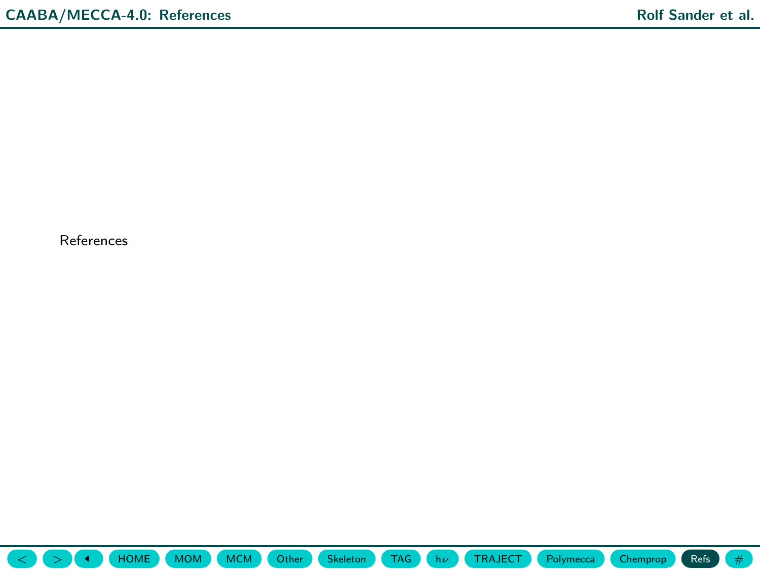<span id="page-13-1"></span><span id="page-13-0"></span>References

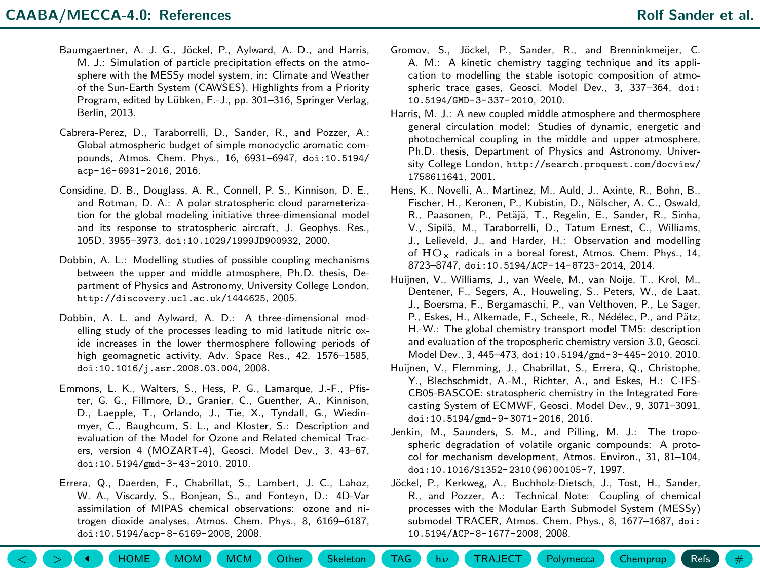- <span id="page-14-0"></span>Baumgaertner, A. J. G., Jöckel, P., Aylward, A. D., and Harris, M. J.: Simulation of particle precipitation effects on the atmosphere with the MESSy model system, in: Climate and Weather of the Sun-Earth System (CAWSES). Highlights from a Priority Program, edited by Lübken, F.-J., pp. 301–316, Springer Verlag, Berlin, 2013.
- Cabrera-Perez, D., Taraborrelli, D., Sander, R., and Pozzer, A.: Global atmospheric budget of simple monocyclic aromatic compounds, Atmos. Chem. Phys., 16, 6931–6947, [doi:10.5194/](https://doi.org/10.5194/acp-16-6931-2016) [acp-16-6931-2016](https://doi.org/10.5194/acp-16-6931-2016), 2016.
- Considine, D. B., Douglass, A. R., Connell, P. S., Kinnison, D. E., and Rotman, D. A.: A polar stratospheric cloud parameterization for the global modeling initiative three-dimensional model and its response to stratospheric aircraft, J. Geophys. Res., 105D, 3955–3973, [doi:10.1029/1999JD900932](https://doi.org/10.1029/1999JD900932), 2000.
- Dobbin, A. L.: Modelling studies of possible coupling mechanisms between the upper and middle atmosphere, Ph.D. thesis, Department of Physics and Astronomy, University College London, <http://discovery.ucl.ac.uk/1444625>, 2005.
- Dobbin, A. L. and Aylward, A. D.: A three-dimensional modelling study of the processes leading to mid latitude nitric oxide increases in the lower thermosphere following periods of high geomagnetic activity, Adv. Space Res., 42, 1576–1585, [doi:10.1016/j.asr.2008.03.004](https://doi.org/10.1016/j.asr.2008.03.004), 2008.
- Emmons, L. K., Walters, S., Hess, P. G., Lamarque, J.-F., Pfister, G. G., Fillmore, D., Granier, C., Guenther, A., Kinnison, D., Laepple, T., Orlando, J., Tie, X., Tyndall, G., Wiedinmyer, C., Baughcum, S. L., and Kloster, S.: Description and evaluation of the Model for Ozone and Related chemical Tracers, version 4 (MOZART-4), Geosci. Model Dev., 3, 43–67, [doi:10.5194/gmd-3-43-2010](https://doi.org/10.5194/gmd-3-43-2010), 2010.
- Errera, Q., Daerden, F., Chabrillat, S., Lambert, J. C., Lahoz, W. A., Viscardy, S., Bonjean, S., and Fonteyn, D.: 4D-Var assimilation of MIPAS chemical observations: ozone and nitrogen dioxide analyses, Atmos. Chem. Phys., 8, 6169–6187, [doi:10.5194/acp-8-6169-2008](https://doi.org/10.5194/acp-8-6169-2008), 2008.
- Gromov, S., Jöckel, P., Sander, R., and Brenninkmeijer, C. A. M.: A kinetic chemistry tagging technique and its application to modelling the stable isotopic composition of atmospheric trace gases, Geosci. Model Dev., 3, 337–364, [doi:](https://doi.org/10.5194/GMD-3-337-2010) [10.5194/GMD-3-337-2010](https://doi.org/10.5194/GMD-3-337-2010), 2010.
- Harris, M. J.: A new coupled middle atmosphere and thermosphere general circulation model: Studies of dynamic, energetic and photochemical coupling in the middle and upper atmosphere, Ph.D. thesis, Department of Physics and Astronomy, University College London, [http://search.proquest.com/docview/](http://search.proquest.com/docview/1758611641) [1758611641](http://search.proquest.com/docview/1758611641), 2001.
- Hens, K., Novelli, A., Martinez, M., Auld, J., Axinte, R., Bohn, B., Fischer, H., Keronen, P., Kubistin, D., Nölscher, A. C., Oswald, R., Paasonen, P., Petäjä, T., Regelin, E., Sander, R., Sinha, V., Sipilä, M., Taraborrelli, D., Tatum Ernest, C., Williams, J., Lelieveld, J., and Harder, H.: Observation and modelling of  $HO_x$  radicals in a boreal forest, Atmos. Chem. Phys., 14, 8723–8747, [doi:10.5194/ACP-14-8723-2014](https://doi.org/10.5194/ACP-14-8723-2014), 2014.
- Huijnen, V., Williams, J., van Weele, M., van Noije, T., Krol, M., Dentener, F., Segers, A., Houweling, S., Peters, W., de Laat, J., Boersma, F., Bergamaschi, P., van Velthoven, P., Le Sager, P., Eskes, H., Alkemade, F., Scheele, R., Nédélec, P., and Pätz, H.-W.: The global chemistry transport model TM5: description and evaluation of the tropospheric chemistry version 3.0, Geosci. Model Dev., 3, 445–473, [doi:10.5194/gmd-3-445-2010](https://doi.org/10.5194/gmd-3-445-2010), 2010.
- Huijnen, V., Flemming, J., Chabrillat, S., Errera, Q., Christophe, Y., Blechschmidt, A.-M., Richter, A., and Eskes, H.: C-IFS-CB05-BASCOE: stratospheric chemistry in the Integrated Forecasting System of ECMWF, Geosci. Model Dev., 9, 3071–3091, [doi:10.5194/gmd-9-3071-2016](https://doi.org/10.5194/gmd-9-3071-2016), 2016.
- Jenkin, M., Saunders, S. M., and Pilling, M. J.: The tropospheric degradation of volatile organic compounds: A protocol for mechanism development, Atmos. Environ., 31, 81–104, [doi:10.1016/S1352-2310\(96\)00105-7](https://doi.org/10.1016/S1352-2310(96)00105-7), 1997.
- Jöckel, P., Kerkweg, A., Buchholz-Dietsch, J., Tost, H., Sander, R., and Pozzer, A.: Technical Note: Coupling of chemical processes with the Modular Earth Submodel System (MESSy) submodel TRACER, Atmos. Chem. Phys., 8, 1677–1687, [doi:](https://doi.org/10.5194/ACP-8-1677-2008) [10.5194/ACP-8-1677-2008](https://doi.org/10.5194/ACP-8-1677-2008), 2008.

 $\langle \rangle$   $($   $>$   $($   $\blacktriangleleft$   $)$   $($  [HOME](#page-0-1)  $)$  ([MOM](#page-4-0)  $)$  ([Other](#page-6-0)  $($  Other  $)$  Chempton  $($  [TAG](#page-8-0)  $)$  ( $\uparrow$   $h\nu$  ) ([TRAJECT](#page-10-0)  $)$  ([Polymecca](#page-11-0) ) ([Chemprop](#page-12-0) ) ([Refs](#page-13-0) )  $($   $\#$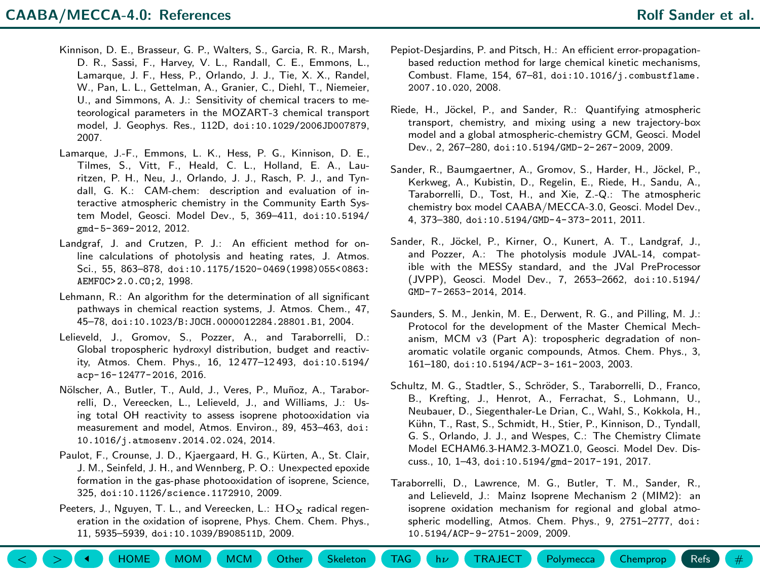- <span id="page-15-0"></span>Kinnison, D. E., Brasseur, G. P., Walters, S., Garcia, R. R., Marsh, D. R., Sassi, F., Harvey, V. L., Randall, C. E., Emmons, L., Lamarque, J. F., Hess, P., Orlando, J. J., Tie, X. X., Randel, W., Pan, L. L., Gettelman, A., Granier, C., Diehl, T., Niemeier, U., and Simmons, A. J.: Sensitivity of chemical tracers to meteorological parameters in the MOZART-3 chemical transport model, J. Geophys. Res., 112D, [doi:10.1029/2006JD007879](https://doi.org/10.1029/2006JD007879), 2007.
- Lamarque, J.-F., Emmons, L. K., Hess, P. G., Kinnison, D. E., Tilmes, S., Vitt, F., Heald, C. L., Holland, E. A., Lauritzen, P. H., Neu, J., Orlando, J. J., Rasch, P. J., and Tyndall, G. K.: CAM-chem: description and evaluation of interactive atmospheric chemistry in the Community Earth System Model, Geosci. Model Dev., 5, 369–411, [doi:10.5194/](https://doi.org/10.5194/gmd-5-369-2012) [gmd-5-369-2012](https://doi.org/10.5194/gmd-5-369-2012), 2012.
- Landgraf, J. and Crutzen, P. J.: An efficient method for online calculations of photolysis and heating rates, J. Atmos. Sci., 55, 863–878, [doi:10.1175/1520-0469\(1998\)055<0863:](https://doi.org/10.1175/1520-0469(1998)055<0863:AEMFOC>2.0.CO;2) [AEMFOC>2.0.CO;2](https://doi.org/10.1175/1520-0469(1998)055<0863:AEMFOC>2.0.CO;2), 1998.
- Lehmann, R.: An algorithm for the determination of all significant pathways in chemical reaction systems, J. Atmos. Chem., 47, 45–78, [doi:10.1023/B:JOCH.0000012284.28801.B1](https://doi.org/10.1023/B:JOCH.0000012284.28801.B1), 2004.
- Lelieveld, J., Gromov, S., Pozzer, A., and Taraborrelli, D.: Global tropospheric hydroxyl distribution, budget and reactivity, Atmos. Chem. Phys., 16, 12 477–12 493, [doi:10.5194/](https://doi.org/10.5194/acp-16-12477-2016) [acp-16-12477-2016](https://doi.org/10.5194/acp-16-12477-2016), 2016.
- Nölscher, A., Butler, T., Auld, J., Veres, P., Muñoz, A., Taraborrelli, D., Vereecken, L., Lelieveld, J., and Williams, J.: Using total OH reactivity to assess isoprene photooxidation via measurement and model, Atmos. Environ., 89, 453–463, [doi:](https://doi.org/10.1016/j.atmosenv.2014.02.024) [10.1016/j.atmosenv.2014.02.024](https://doi.org/10.1016/j.atmosenv.2014.02.024), 2014.
- Paulot, F., Crounse, J. D., Kiaergaard, H. G., Kürten, A., St. Clair, J. M., Seinfeld, J. H., and Wennberg, P. O.: Unexpected epoxide formation in the gas-phase photooxidation of isoprene, Science, 325, [doi:10.1126/science.1172910](https://doi.org/10.1126/science.1172910), 2009.
- Peeters, J., Nguyen, T. L., and Vereecken, L.:  $\mathrm{HO}_{\mathbf{x}}$  radical regeneration in the oxidation of isoprene, Phys. Chem. Chem. Phys., 11, 5935–5939, [doi:10.1039/B908511D](https://doi.org/10.1039/B908511D), 2009.
- Pepiot-Desjardins, P. and Pitsch, H.: An efficient error-propagationbased reduction method for large chemical kinetic mechanisms, Combust. Flame, 154, 67–81, [doi:10.1016/j.combustflame.](https://doi.org/10.1016/j.combustflame.2007.10.020) [2007.10.020](https://doi.org/10.1016/j.combustflame.2007.10.020), 2008.
- Riede, H., Jöckel, P., and Sander, R.: Quantifying atmospheric transport, chemistry, and mixing using a new trajectory-box model and a global atmospheric-chemistry GCM, Geosci. Model Dev., 2, 267–280, [doi:10.5194/GMD-2-267-2009](https://doi.org/10.5194/GMD-2-267-2009), 2009.
- Sander, R., Baumgaertner, A., Gromov, S., Harder, H., Jöckel, P., Kerkweg, A., Kubistin, D., Regelin, E., Riede, H., Sandu, A., Taraborrelli, D., Tost, H., and Xie, Z.-Q.: The atmospheric chemistry box model CAABA/MECCA-3.0, Geosci. Model Dev., 4, 373–380, [doi:10.5194/GMD-4-373-2011](https://doi.org/10.5194/GMD-4-373-2011), 2011.
- Sander, R., Jöckel, P., Kirner, O., Kunert, A. T., Landgraf, J., and Pozzer, A.: The photolysis module JVAL-14, compatible with the MESSy standard, and the JVal PreProcessor (JVPP), Geosci. Model Dev., 7, 2653–2662, [doi:10.5194/](https://doi.org/10.5194/GMD-7-2653-2014) [GMD-7-2653-2014](https://doi.org/10.5194/GMD-7-2653-2014), 2014.
- Saunders, S. M., Jenkin, M. E., Derwent, R. G., and Pilling, M. J.: Protocol for the development of the Master Chemical Mechanism, MCM v3 (Part A): tropospheric degradation of nonaromatic volatile organic compounds, Atmos. Chem. Phys., 3, 161–180, [doi:10.5194/ACP-3-161-2003](https://doi.org/10.5194/ACP-3-161-2003), 2003.
- Schultz, M. G., Stadtler, S., Schröder, S., Taraborrelli, D., Franco, B., Krefting, J., Henrot, A., Ferrachat, S., Lohmann, U., Neubauer, D., Siegenthaler-Le Drian, C., Wahl, S., Kokkola, H., Kühn, T., Rast, S., Schmidt, H., Stier, P., Kinnison, D., Tyndall, G. S., Orlando, J. J., and Wespes, C.: The Chemistry Climate Model ECHAM6.3-HAM2.3-MOZ1.0, Geosci. Model Dev. Discuss., 10, 1–43, [doi:10.5194/gmd-2017-191](https://doi.org/10.5194/gmd-2017-191), 2017.
- Taraborrelli, D., Lawrence, M. G., Butler, T. M., Sander, R., and Lelieveld, J.: Mainz Isoprene Mechanism 2 (MIM2): an isoprene oxidation mechanism for regional and global atmospheric modelling, Atmos. Chem. Phys., 9, 2751–2777, [doi:](https://doi.org/10.5194/ACP-9-2751-2009) [10.5194/ACP-9-2751-2009](https://doi.org/10.5194/ACP-9-2751-2009), 2009.

 $\langle \rangle$   $($   $>$   $($   $\blacktriangleleft$   $)$   $($  [HOME](#page-0-1)  $)$  ([MOM](#page-4-0)  $)$  ([Other](#page-6-0)  $($  Other  $)$  Chempton  $($  [TAG](#page-8-0)  $)$  ( $\uparrow$   $h\nu$  ) ([TRAJECT](#page-10-0)  $)$  ([Polymecca](#page-11-0) ) ([Chemprop](#page-12-0) ) ([Refs](#page-13-0) )  $($   $\#$